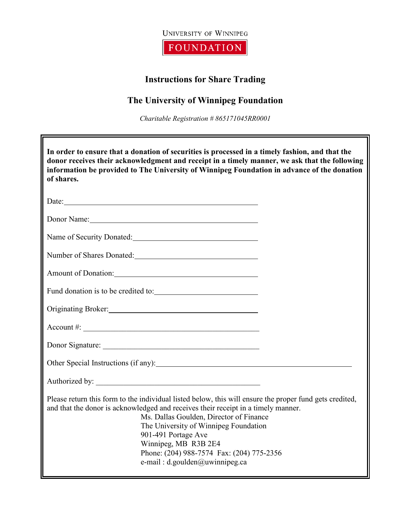

**FOUNDATION** 

## **Instructions for Share Trading**

## **The University of Winnipeg Foundation**

*Charitable Registration # 865171045RR0001*

| In order to ensure that a donation of securities is processed in a timely fashion, and that the<br>donor receives their acknowledgment and receipt in a timely manner, we ask that the following<br>information be provided to The University of Winnipeg Foundation in advance of the donation<br>of shares.                                                                                                   |  |
|-----------------------------------------------------------------------------------------------------------------------------------------------------------------------------------------------------------------------------------------------------------------------------------------------------------------------------------------------------------------------------------------------------------------|--|
|                                                                                                                                                                                                                                                                                                                                                                                                                 |  |
| Donor Name: 2008                                                                                                                                                                                                                                                                                                                                                                                                |  |
| Name of Security Donated:<br><u>Name of Security Donated:</u>                                                                                                                                                                                                                                                                                                                                                   |  |
| Number of Shares Donated:                                                                                                                                                                                                                                                                                                                                                                                       |  |
| Amount of Donation:                                                                                                                                                                                                                                                                                                                                                                                             |  |
|                                                                                                                                                                                                                                                                                                                                                                                                                 |  |
|                                                                                                                                                                                                                                                                                                                                                                                                                 |  |
| $\text{Account } \#:$                                                                                                                                                                                                                                                                                                                                                                                           |  |
| Donor Signature:                                                                                                                                                                                                                                                                                                                                                                                                |  |
|                                                                                                                                                                                                                                                                                                                                                                                                                 |  |
| Authorized by:                                                                                                                                                                                                                                                                                                                                                                                                  |  |
| Please return this form to the individual listed below, this will ensure the proper fund gets credited,<br>and that the donor is acknowledged and receives their receipt in a timely manner.<br>Ms. Dallas Goulden, Director of Finance<br>The University of Winnipeg Foundation<br>901-491 Portage Ave<br>Winnipeg, MB R3B 2E4<br>Phone: (204) 988-7574 Fax: (204) 775-2356<br>e-mail : d.goulden@uwinnipeg.ca |  |